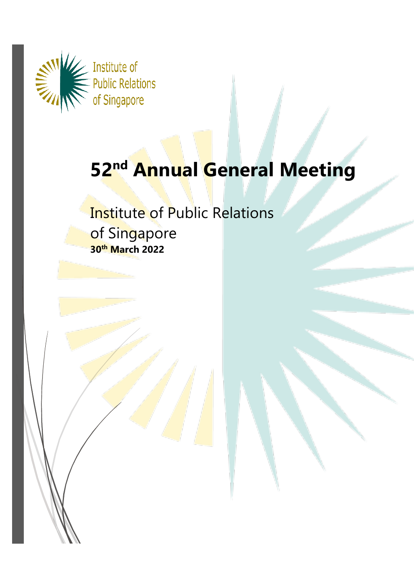

# **52nd Annual General Meeting**

# Institute of Public Relations of Singapore **30th March 2022**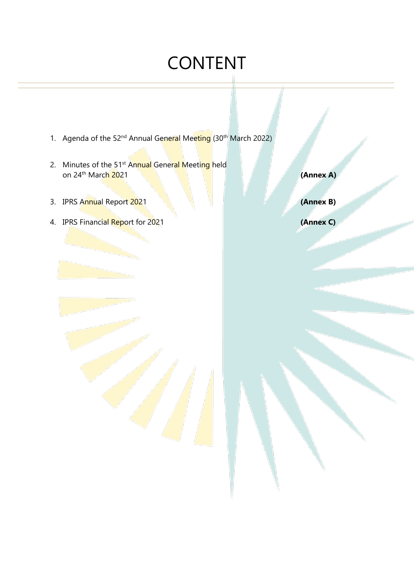# CONTENT

- 1. Agenda of the 52<sup>nd</sup> Annual General Meeting (30<sup>th</sup> March 2022)
- 2. Minutes of the 51<sup>st</sup> Annual General Meeting held on 24 th March 2021 **(Annex A)**
- 3. IPRS Annual Report 2021 **(Annex B)**
- 4. IPRS Financial Report for 2021 **(Annex C)**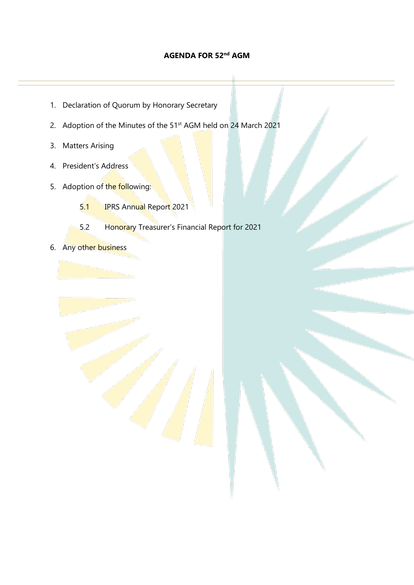### **AGENDA FOR 52nd AGM**

- 1. Declaration of Quorum by Honorary Secretary
- 2. Adoption of the Minutes of the 51<sup>st</sup> AGM held on 24 March 2021
- 3. Matters Arising
- 4. President's Address
- 5. Adoption of the following:
	- 5.1 IPRS Annual Report 2021
	- 5.2 Honorary Treasurer's Financial Report for 2021
- 6. Any other business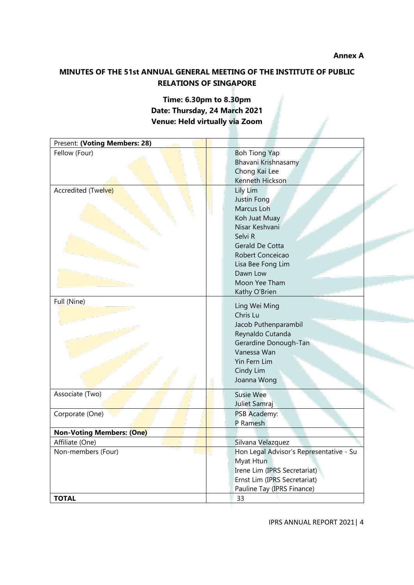**Annex A**

# **MINUTES OF THE 51st ANNUAL GENERAL MEETING OF THE INSTITUTE OF PUBLIC RELATIONS OF SINGAPORE**

# **Time: 6.30pm to 8.30pm Date: Thursday, 24 March 2021 Venue: Held virtually via Zoom**

| Present: (Voting Members: 28)    |                                         |
|----------------------------------|-----------------------------------------|
| Fellow (Four)                    | <b>Boh Tiong Yap</b>                    |
|                                  | Bhavani Krishnasamy                     |
|                                  | Chong Kai Lee                           |
|                                  | Kenneth Hickson                         |
| Accredited (Twelve)              | Lily Lim                                |
|                                  | Justin Fong                             |
|                                  | Marcus Loh                              |
|                                  | Koh Juat Muay                           |
|                                  | Nisar Keshvani                          |
|                                  | Selvi R                                 |
|                                  | Gerald De Cotta                         |
|                                  | Robert Conceicao                        |
|                                  | Lisa Bee Fong Lim                       |
|                                  | Dawn Low                                |
|                                  | Moon Yee Tham                           |
|                                  | Kathy O'Brien                           |
| Full (Nine)                      | Ling Wei Ming                           |
|                                  | Chris Lu                                |
|                                  | Jacob Puthenparambil                    |
|                                  | Reynaldo Cutanda                        |
|                                  | Gerardine Donough-Tan                   |
|                                  | Vanessa Wan                             |
|                                  | Yin Fern Lim                            |
|                                  | Cindy Lim                               |
|                                  | Joanna Wong                             |
|                                  |                                         |
| Associate (Two)                  | Susie Wee                               |
|                                  | Juliet Samraj                           |
| Corporate (One)                  | PSB Academy:                            |
|                                  | P Ramesh                                |
| <b>Non-Voting Members: (One)</b> |                                         |
| Affiliate (One)                  | Silvana Velazquez                       |
| Non-members (Four)               | Hon Legal Advisor's Representative - Su |
|                                  | Myat Htun                               |
|                                  | Irene Lim (IPRS Secretariat)            |
|                                  | Ernst Lim (IPRS Secretariat)            |
|                                  | Pauline Tay (IPRS Finance)              |
| <b>TOTAL</b>                     | 33                                      |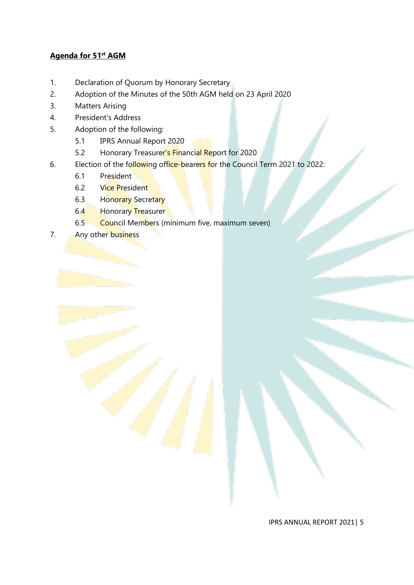### **Agenda for 51st AGM**

- 1. Declaration of Quorum by Honorary Secretary
- 2. Adoption of the Minutes of the 50th AGM held on 23 April 2020
- 3. Matters Arising
- 4. President's Address
- 5. Adoption of the following:
	- 5.1 IPRS Annual Report 2020
	- 5.2 Honorary Treasurer's Financial Report for 2020
- 6. Election of the following office-bearers for the Council Term 2021 to 2022:
	- 6.1 President
	- 6.2 Vice President
	- 6.3 Honorary Secretary
	- 6.4 Honorary Treasurer
	- 6.5 Council Members (minimum five, maximum seven)
- 7. **Any other business**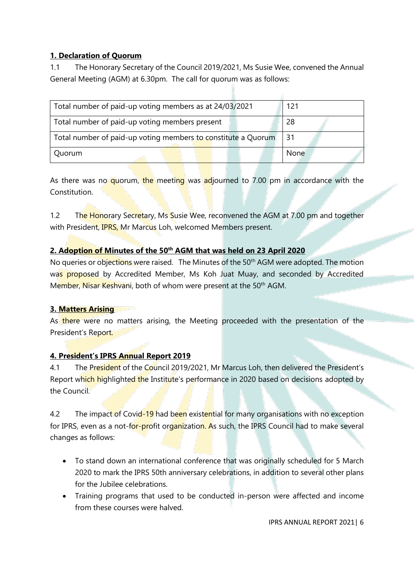# **1. Declaration of Quorum**

1.1 The Honorary Secretary of the Council 2019/2021, Ms Susie Wee, convened the Annual General Meeting (AGM) at 6.30pm. The call for quorum was as follows:

| Total number of paid-up voting members as at 24/03/2021       | 121  |
|---------------------------------------------------------------|------|
| Total number of paid-up voting members present                | -28  |
| Total number of paid-up voting members to constitute a Quorum | -31  |
| Quorum                                                        | None |

As there was no quorum, the meeting was adjourned to 7.00 pm in accordance with the Constitution.

1.2 The Honorary Secretary, Ms Susie Wee, reconvened the AGM at 7.00 pm and together with President, **IPRS, Mr Marcus Loh, welcomed Members present.** 

### **2. Adoption of Minutes of the 50th AGM that was held on 23 April 2020**

No queries or objections were raised. The Minutes of the 50<sup>th</sup> AGM were adopted. The motion was proposed by Accredited Member, Ms Koh Juat Muay, and seconded by Accredited Member, Nisar Keshyani, both of whom were present at the 50<sup>th</sup> AGM.

### **3. Matters Arising**

As there were no matters arising, the Meeting proceeded with the presentation of the President's Report.

# **4. President's IPRS Annual Report 2019**

4.1 The President of the Council 2019/2021, Mr Marcus Loh, then delivered the President's Report which highlighted the Institute's performance in 2020 based on decisions adopted by the Council.

4.2 The impact of Covid-19 had been existential for many organisations with no exception for IPRS, even as a not-for-profit organization. As such, the IPRS Council had to make several changes as follows:

- To stand down an international conference that was originally scheduled for 5 March 2020 to mark the IPRS 50th anniversary celebrations, in addition to several other plans for the Jubilee celebrations.
- Training programs that used to be conducted in-person were affected and income from these courses were halved.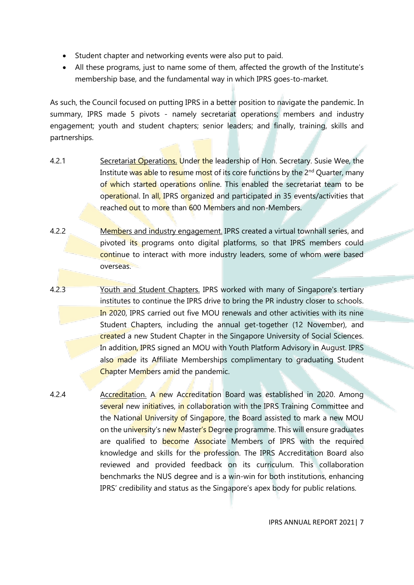- Student chapter and networking events were also put to paid.
- All these programs, just to name some of them, affected the growth of the Institute's membership base, and the fundamental way in which IPRS goes-to-market.

As such, the Council focused on putting IPRS in a better position to navigate the pandemic. In summary, IPRS made 5 pivots - namely secretariat operations; members and industry engagement; youth and student chapters; senior leaders; and finally, training, skills and partnerships.

- 4.2.1 Secretariat Operations. Under the leadership of Hon. Secretary. Susie Wee, the Institute was able to resume most of its core functions by the 2<sup>nd</sup> Quarter, many of which started operations online. This enabled the secretariat team to be operational. In all, IPRS organized and participated in 35 events/activities that reached out to more than 600 Members and non-Members.
- 4.2.2 Members and industry engagement. IPRS created a virtual townhall series, and pivoted its programs onto digital platforms, so that IPRS members could continue to interact with more industry leaders, some of whom were based overseas.
- 4.2.3 Youth and Student Chapters. IPRS worked with many of Singapore's tertiary institutes to continue the IPRS drive to bring the PR industry closer to schools. In 2020, IPRS carried out five MOU renewals and other activities with its nine Student Chapters, including the annual get-together (12 November), and created a new Student Chapter in the Singapore University of Social Sciences. In addition, IPRS signed an MOU with Youth Platform Advisory in August. IPRS also made its Affiliate Memberships complimentary to graduating Student Chapter Members amid the pandemic.
- 4.2.4 Accreditation. A new Accreditation Board was established in 2020. Among several new initiatives, in collaboration with the IPRS Training Committee and the National University of Singapore, the Board assisted to mark a new MOU on the university's new Master's Degree programme. This will ensure graduates are qualified to become Associate Members of IPRS with the required knowledge and skills for the profession. The IPRS Accreditation Board also reviewed and provided feedback on its curriculum. This collaboration benchmarks the NUS degree and is a win-win for both institutions, enhancing IPRS' credibility and status as the Singapore's apex body for public relations.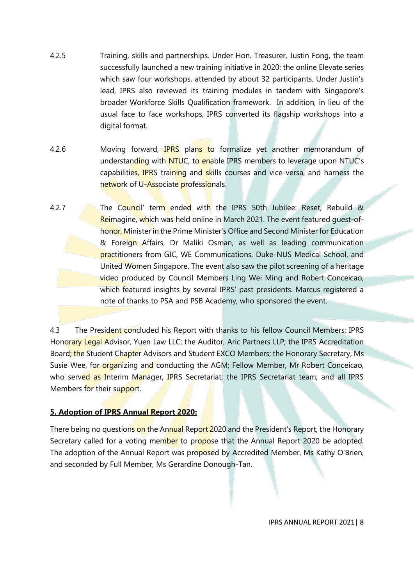- 4.2.5 Training, skills and partnerships. Under Hon. Treasurer, Justin Fong, the team successfully launched a new training initiative in 2020: the online Elevate series which saw four workshops, attended by about 32 participants. Under Justin's lead, IPRS also reviewed its training modules in tandem with Singapore's broader Workforce Skills Qualification framework. In addition, in lieu of the usual face to face workshops, IPRS converted its flagship workshops into a digital format.
- 4.2.6 Moving forward, **IPRS** plans to formalize yet another memorandum of understanding with NTUC, to enable IPRS members to leverage upon NTUC's capabilities, IPRS training and skills courses and vice-versa, and harness the network of U-Associate professionals.
- 4.2.7 The Council' term ended with the IPRS 50th Jubilee: Reset, Rebuild & Reimagine, which was held online in March 2021. The event featured quest-ofhonor, Minister in the Prime Minister's Office and Second Minister for Education & Foreign Affairs, Dr Maliki Osman, as well as leading communication practitioners from GIC, WE Communications, Duke-NUS Medical School, and United Women Singapore. The event also saw the pilot screening of a heritage video produced by Council Members Ling Wei Ming and Robert Conceicao, which featured insights by several IPRS' past presidents. Marcus registered a note of thanks to PSA and PSB Academy, who sponsored the event.

4.3 The President concluded his Report with thanks to his fellow Council Members; IPRS Honorary Legal Advisor, Yuen Law LLC; the Auditor, Aric Partners LLP; the IPRS Accreditation Board; the Student Chapter Advisors and Student EXCO Members; the Honorary Secretary, Ms Susie Wee, for organizing and conducting the AGM; Fellow Member, Mr Robert Conceicao, who served as Interim Manager, IPRS Secretariat; the IPRS Secretariat team; and all IPRS Members for their support.

### **5. Adoption of IPRS Annual Report 2020:**

There being no questions on the Annual Report 2020 and the President's Report, the Honorary Secretary called for a voting member to propose that the Annual Report 2020 be adopted. The adoption of the Annual Report was proposed by Accredited Member, Ms Kathy O'Brien, and seconded by Full Member, Ms Gerardine Donough-Tan.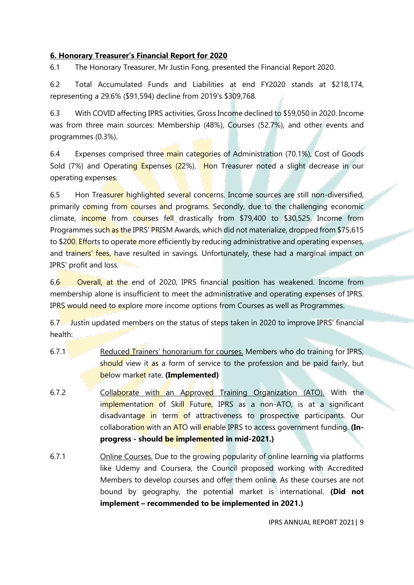### **6. Honorary Treasurer's Financial Report for 2020**

6.1 The Honorary Treasurer, Mr Justin Fong, presented the Financial Report 2020.

6.2 Total Accumulated Funds and Liabilities at end FY2020 stands at \$218,174, representing a 29.6% (\$91,594) decline from 2019's \$309,768.

6.3 With COVID affecting IPRS activities, Gross Income declined to \$59,050 in 2020. Income was from three main sources: Membership (48%), Courses (52.7%), and other events and programmes (0.3%).

6.4 Expenses comprised three main categories of Administration (70.1%), Cost of Goods Sold (7%) and Operating Expenses (22%). Hon Treasurer noted a slight decrease in our operating expenses.

6.5 Hon Treasurer highlighted several concerns. Income sources are still non-diversified, primarily coming from courses and programs. Secondly, due to the challenging economic climate, income from courses fell drastically from \$79,400 to \$30,525. Income from Programmes such as the IPRS' PRISM Awards, which did not materialize, dropped from \$75,615 to \$200. Efforts to operate more efficiently by reducing administrative and operating expenses, and trainers' fees, have resulted in savings. Unfortunately, these had a marginal impact on IPRS' profit and loss.

6.6 Overall, at the end of 2020, IPRS financial position has weakened. Income from membership alone is insufficient to meet the administrative and operating expenses of IPRS. IPRS would need to explore more income options from Courses as well as Programmes.

6.7 Justin updated members on the status of steps taken in 2020 to improve IPRS' financial health:

- 6.7.1 Reduced Trainers' honorarium for courses. Members who do training for IPRS, should view it as a form of service to the profession and be paid fairly, but below market rate. **(Implemented)**
- 6.7.2 Collaborate with an Approved Training Organization (ATO). With the implementation of Skill Future, IPRS as a non-ATO, is at a significant disadvantage in term of attractiveness to prospective participants. Our collaboration with an ATO will enable IPRS to access government funding. **(Inprogress - should be implemented in mid-2021.)**
- 6.7.1 Online Courses. Due to the growing popularity of online learning via platforms like Udemy and Coursera, the Council proposed working with Accredited Members to develop courses and offer them online. As these courses are not bound by geography, the potential market is international. **(Did not implement – recommended to be implemented in 2021.)**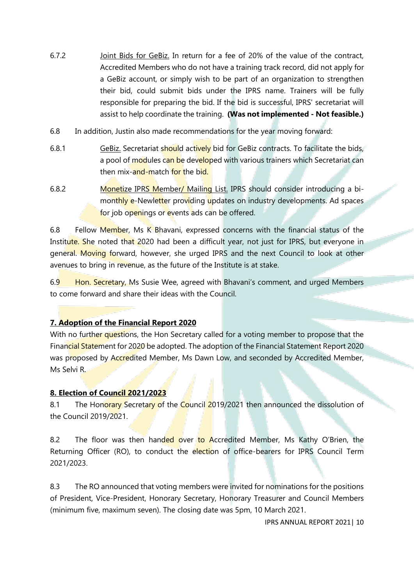- 6.7.2 Joint Bids for GeBiz. In return for a fee of 20% of the value of the contract, Accredited Members who do not have a training track record, did not apply for a GeBiz account, or simply wish to be part of an organization to strengthen their bid, could submit bids under the IPRS name. Trainers will be fully responsible for preparing the bid. If the bid is successful, IPRS' secretariat will assist to help coordinate the training. **(Was not implemented - Not feasible.)**
- 6.8 In addition, Justin also made recommendations for the year moving forward:
- 6.8.1 GeBiz. Secretariat should actively bid for GeBiz contracts. To facilitate the bids, a pool of modules can be developed with various trainers which Secretariat can then mix-and-match for the bid.
- 6.8.2 Monetize IPRS Member/ Mailing List. IPRS should consider introducing a bimonthly e-Newletter providing updates on industry developments. Ad spaces for job openings or events ads can be offered.

6.8 Fellow Member, Ms K Bhavani, expressed concerns with the financial status of the Institute. She noted that 2020 had been a difficult year, not just for IPRS, but everyone in general. Moving forward, however, she urged IPRS and the next Council to look at other avenues to bring in revenue, as the future of the Institute is at stake.

6.9 Hon. Secretary, Ms Susie Wee, agreed with Bhavani's comment, and urged Members to come forward and share their ideas with the Council.

# **7. Adoption of the Financial Report 2020**

With no further questions, the Hon Secretary called for a voting member to propose that the Financial Statement for 2020 be adopted. The adoption of the Financial Statement Report 2020 was proposed by Accredited Member, Ms Dawn Low, and seconded by Accredited Member, Ms Selvi R.

# **8. Election of Council 2021/2023**

8.1 The Honorary Secretary of the Council 2019/2021 then announced the dissolution of the Council 2019/2021.

8.2 The floor was then handed over to Accredited Member, Ms Kathy O'Brien, the Returning Officer (RO), to conduct the election of office-bearers for IPRS Council Term 2021/2023.

8.3 The RO announced that voting members were invited for nominations for the positions of President, Vice-President, Honorary Secretary, Honorary Treasurer and Council Members (minimum five, maximum seven). The closing date was 5pm, 10 March 2021.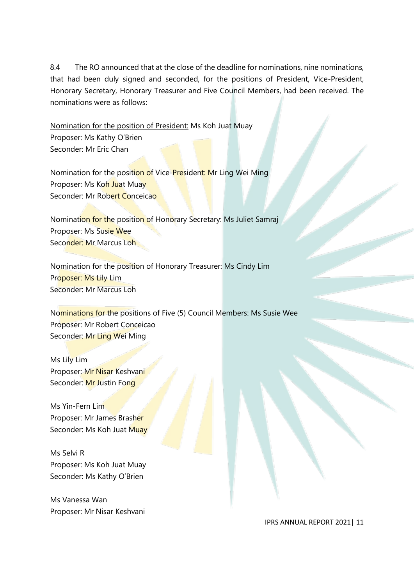8.4 The RO announced that at the close of the deadline for nominations, nine nominations, that had been duly signed and seconded, for the positions of President, Vice-President, Honorary Secretary, Honorary Treasurer and Five Council Members, had been received. The nominations were as follows:

Nomination for the position of President: Ms Koh Juat Muay Proposer: Ms Kathy O'Brien Seconder: Mr Eric Chan

Nomination for the position of Vice-President: Mr Ling Wei Ming Proposer: Ms Koh Juat Muay Seconder: Mr Robert Conceicao

Nomination for the position of Honorary Secretary: Ms Juliet Samraj Proposer: Ms Susie Wee Seconder: Mr Marcus Loh

Nomination for the position of Honorary Treasurer: Ms Cindy Lim Proposer: Ms Lily Lim Seconder: Mr Marcus Loh

Nominations for the positions of Five (5) Council Members: Ms Susie Wee Proposer: Mr Robert Conceicao Seconder: Mr Ling Wei Ming

Ms Lily Lim Proposer: Mr Nisar Keshvani Seconder: Mr Justin Fong

Ms Yin-Fern Lim Proposer: Mr James Brasher Seconder: Ms Koh Juat Muay

Ms Selvi R Proposer: Ms Koh Juat Muay Seconder: Ms Kathy O'Brien

Ms Vanessa Wan Proposer: Mr Nisar Keshvani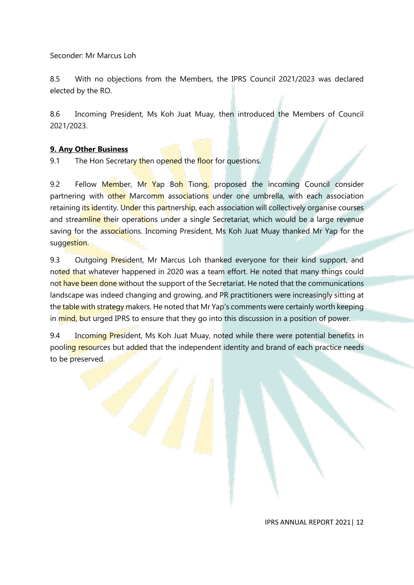Seconder: Mr Marcus Loh

8.5 With no objections from the Members, the IPRS Council 2021/2023 was declared elected by the RO.

8.6 Incoming President, Ms Koh Juat Muay, then introduced the Members of Council 2021/2023.

# **9. Any Other Business**

9.1 The Hon Secretary then opened the floor for questions.

9.2 Fellow Member, Mr Yap Boh Tiong, proposed the incoming Council consider partnering with other Marcomm associations under one umbrella, with each association retaining its identity. Under this partnership, each association will collectively organise courses and streamline their operations under a single Secretariat, which would be a large revenue saving for the associations. Incoming President, Ms Koh Juat Muay thanked Mr Yap for the suggestion.

9.3 Outgoing President, Mr Marcus Loh thanked everyone for their kind support, and noted that whatever happened in 2020 was a team effort. He noted that many things could not have been done without the support of the Secretariat. He noted that the communications landscape was indeed changing and growing, and PR practitioners were increasingly sitting at the table with strategy makers. He noted that Mr Yap's comments were certainly worth keeping in mind, but urged IPRS to ensure that they go into this discussion in a position of power.

9.4 Incoming President, Ms Koh Juat Muay, noted while there were potential benefits in pooling resources but added that the independent identity and brand of each practice needs to be preserved.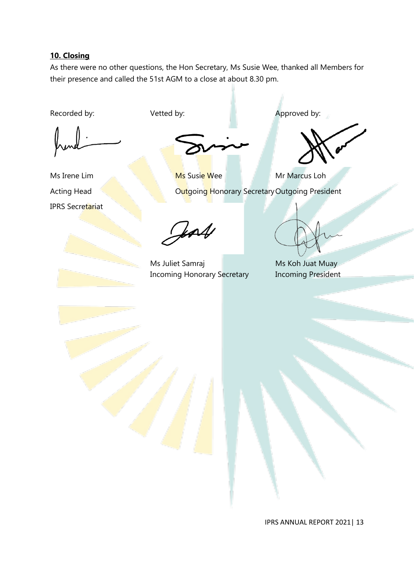# **10. Closing**

As there were no other questions, the Hon Secretary, Ms Susie Wee, thanked all Members for their presence and called the 51st AGM to a close at about 8.30 pm.

Recorded by: Vetted by:  $\blacksquare$  Approved by:

IPRS Secretariat

Ms Irene Lim **Ms** Susie Wee Mr Marcus Loh Acting Head **Contact Contact Contact Contact Contact Contact Contact Contact Contact Contact Contact Contact Contact Contact Contact Contact Contact Contact Contact Contact Contact Contact Contact Contact Contact Contact C** 

Jean

Ms Juliet Samraj Ms Koh Juat Muay Incoming Honorary Secretary Incoming President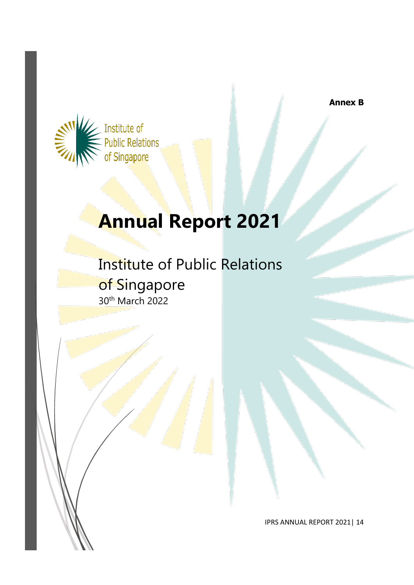**Annex B**



# **Annual Report 2021**

Institute of Public Relations of Singapore 30th March 2022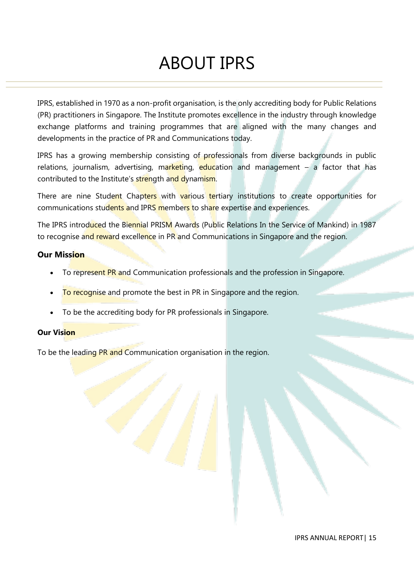# ABOUT IPRS

IPRS, established in 1970 as a non-profit organisation, is the only accrediting body for Public Relations (PR) practitioners in Singapore. The Institute promotes excellence in the industry through knowledge exchange platforms and training programmes that are aligned with the many changes and developments in the practice of PR and Communications today.

IPRS has a growing membership consisting of professionals from diverse backgrounds in public relations, journalism, advertising, marketing, education and management  $-$  a factor that has contributed to the Institute's strength and dynamism.

There are nine Student Chapters with various tertiary institutions to create opportunities for communications students and IPRS members to share expertise and experiences.

The IPRS introduced the Biennial PRISM Awards (Public Relations In the Service of Mankind) in 1987 to recognise and reward excellence in PR and Communications in Singapore and the region.

### **Our Mission**

- To represent PR and Communication professionals and the profession in Singapore.
- To recognise and promote the best in PR in Singapore and the region.
- To be the accrediting body for PR professionals in Singapore.

#### **Our Vision**

To be the leading PR and Communication organisation in the region.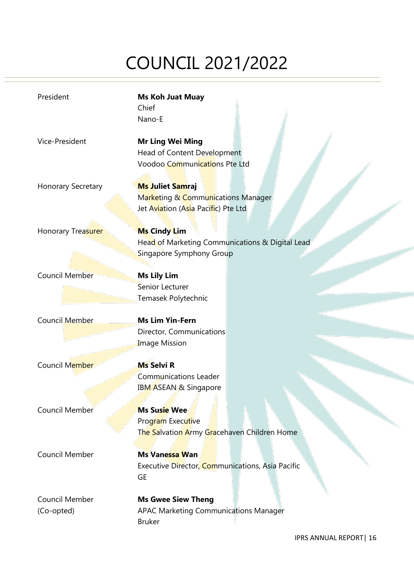# COUNCIL 2021/2022

| President                    | <b>Ms Koh Juat Muay</b><br>Chief<br>Nano-E                                                           |
|------------------------------|------------------------------------------------------------------------------------------------------|
| Vice-President               | <b>Mr Ling Wei Ming</b><br>Head of Content Development<br>Voodoo Communications Pte Ltd              |
| Honorary Secretary           | <b>Ms Juliet Samraj</b><br>Marketing & Communications Manager<br>Jet Aviation (Asia Pacific) Pte Ltd |
| Honorary Treasurer           | <b>Ms Cindy Lim</b><br>Head of Marketing Communications & Digital Lead<br>Singapore Symphony Group   |
| <b>Council Member</b>        | <b>Ms Lily Lim</b><br>Senior Lecturer<br>Temasek Polytechnic                                         |
| <b>Council Member</b>        | <b>Ms Lim Yin-Fern</b><br>Director, Communications<br><b>Image Mission</b>                           |
| Council Member               | <b>Ms Selvi R</b><br><b>Communications Leader</b><br>IBM ASEAN & Singapore                           |
| Council Member               | <b>Ms Susie Wee</b><br>Program Executive<br>The Salvation Army Gracehaven Children Home              |
| <b>Council Member</b>        | Ms Vanessa Wan<br>Executive Director, Communications, Asia Pacific<br><b>GE</b>                      |
| Council Member<br>(Co-opted) | <b>Ms Gwee Siew Theng</b><br>APAC Marketing Communications Manager<br><b>Bruker</b>                  |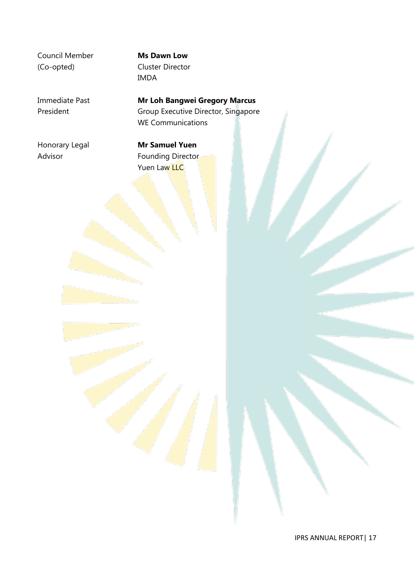Council Member **Ms Dawn Low** (Co-opted) Cluster Director

# IMDA

Immediate Past **Mr Loh Bangwei Gregory Marcus** President Group Executive Director, Singapore WE Communications

Honorary Legal **Mr Samuel Yuen**

Advisor **Founding Director** Yuen Law LLC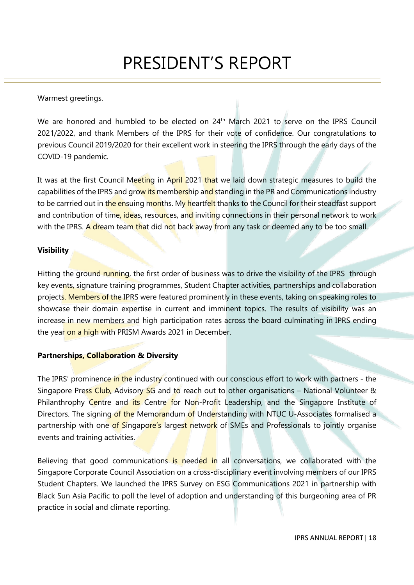## Warmest greetings.

We are honored and humbled to be elected on 24<sup>th</sup> March 2021 to serve on the IPRS Council 2021/2022, and thank Members of the IPRS for their vote of confidence. Our congratulations to previous Council 2019/2020 for their excellent work in steering the IPRS through the early days of the COVID-19 pandemic.

It was at the first Council Meeting in April 2021 that we laid down strategic measures to build the capabilities of the IPRS and grow its membership and standing in the PR and Communications industry to be carrried out in the ensuing months. My heartfelt thanks to the Council for their steadfast support and contribution of time, ideas, resources, and inviting connections in their personal network to work with the IPRS. A dream team that did not back away from any task or deemed any to be too small.

### **Visibility**

Hitting the ground running, the first order of business was to drive the visibility of the IPRS through key events, signature training programmes, Student Chapter activities, partnerships and collaboration projects. Members of the IPRS were featured prominently in these events, taking on speaking roles to showcase their domain expertise in current and imminent topics. The results of visibility was an increase in new members and high participation rates across the board culminating in IPRS ending the year on a high with PRISM Awards 2021 in December.

### **Partnerships, Collaboration & Diversity**

The IPRS' prominence in the industry continued with our conscious effort to work with partners - the Singapore Press Club, Advisory SG and to reach out to other organisations – National Volunteer & Philanthrophy Centre and its Centre for Non-Profit Leadership, and the Singapore Institute of Directors. The signing of the Memorandum of Understanding with NTUC U-Associates formalised a partnership with one of Singapore's largest network of SMEs and Professionals to jointly organise events and training activities.

Believing that good communications is needed in all conversations, we collaborated with the Singapore Corporate Council Association on a cross-disciplinary event involving members of our IPRS Student Chapters. We launched the IPRS Survey on ESG Communications 2021 in partnership with Black Sun Asia Pacific to poll the level of adoption and understanding of this burgeoning area of PR practice in social and climate reporting.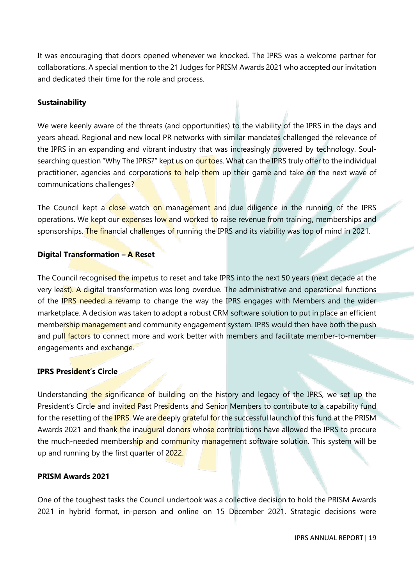It was encouraging that doors opened whenever we knocked. The IPRS was a welcome partner for collaborations. A special mention to the 21 Judges for PRISM Awards 2021 who accepted our invitation and dedicated their time for the role and process.

#### **Sustainability**

We were keenly aware of the threats (and opportunities) to the viability of the IPRS in the days and years ahead. Regional and new local PR networks with similar mandates challenged the relevance of the IPRS in an expanding and vibrant industry that was increasingly powered by technology. Soulsearching question "Why The IPRS?" kept us on our toes. What can the IPRS truly offer to the individual practitioner, agencies and corporations to help them up their game and take on the next wave of communications challenges?

The Council kept a close watch on management and due diligence in the running of the IPRS operations. We kept our expenses low and worked to raise revenue from training, memberships and sponsorships. The financial challenges of running the IPRS and its viability was top of mind in 2021.

#### **Digital Transformation – A Reset**

The Council recognised the impetus to reset and take IPRS into the next 50 years (next decade at the very least). A digital transformation was long overdue. The administrative and operational functions of the IPRS needed a revamp to change the way the IPRS engages with Members and the wider marketplace. A decision was taken to adopt a robust CRM software solution to put in place an efficient membership management and community engagement system. IPRS would then have both the push and pull factors to connect more and work better with members and facilitate member-to-member engagements and exchange.

#### **IPRS President's Circle**

Understanding the significance of building on the history and legacy of the IPRS, we set up the President's Circle and invited Past Presidents and Senior Members to contribute to a capability fund for the resetting of the **IPRS**. We are deeply grateful for the successful launch of this fund at the PRISM Awards 2021 and thank the inaugural donors whose contributions have allowed the IPRS to procure the much-needed membership and community management software solution. This system will be up and running by the first quarter of 2022.

#### **PRISM Awards 2021**

One of the toughest tasks the Council undertook was a collective decision to hold the PRISM Awards 2021 in hybrid format, in-person and online on 15 December 2021. Strategic decisions were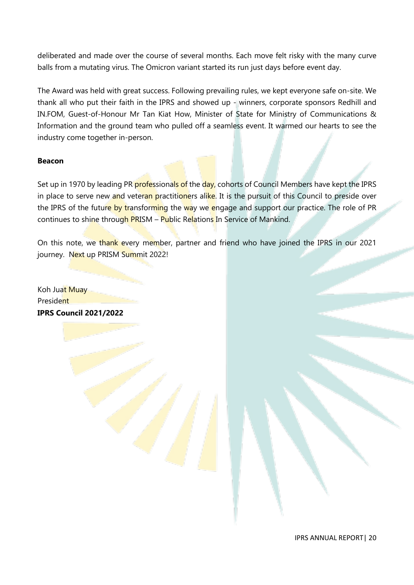deliberated and made over the course of several months. Each move felt risky with the many curve balls from a mutating virus. The Omicron variant started its run just days before event day.

The Award was held with great success. Following prevailing rules, we kept everyone safe on-site. We thank all who put their faith in the IPRS and showed up - winners, corporate sponsors Redhill and IN.FOM, Guest-of-Honour Mr Tan Kiat How, Minister of State for Ministry of Communications & Information and the ground team who pulled off a seamless event. It warmed our hearts to see the industry come together in-person.

#### **Beacon**

Set up in 1970 by leading PR professionals of the day, cohorts of Council Members have kept the IPRS in place to serve new and veteran practitioners alike. It is the pursuit of this Council to preside over the IPRS of the future by transforming the way we engage and support our practice. The role of PR continues to shine through PRISM – Public Relations In Service of Mankind.

On this note, we thank every member, partner and friend who have joined the IPRS in our 2021 journey. Next up PRISM Summit 2022!

Koh Juat Muay President **IPRS Council 2021/2022**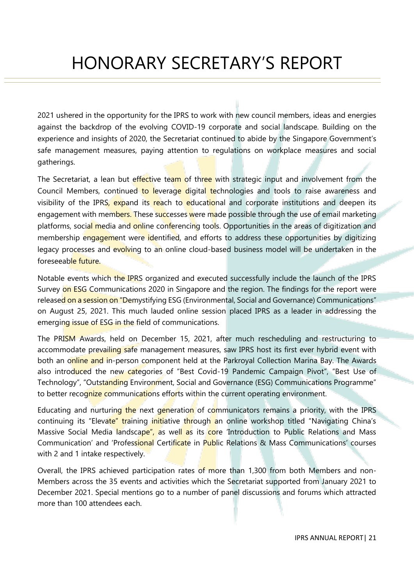# HONORARY SECRETARY'S REPORT

2021 ushered in the opportunity for the IPRS to work with new council members, ideas and energies against the backdrop of the evolving COVID-19 corporate and social landscape. Building on the experience and insights of 2020, the Secretariat continued to abide by the Singapore Government's safe management measures, paying attention to regulations on workplace measures and social gatherings.

The Secretariat, a lean but effective team of three with strategic input and involvement from the Council Members, continued to leverage digital technologies and tools to raise awareness and visibility of the IPRS, expand its reach to educational and corporate institutions and deepen its engagement with members. These successes were made possible through the use of email marketing platforms, social media and online conferencing tools. Opportunities in the areas of digitization and membership engagement were identified, and efforts to address these opportunities by digitizing legacy processes and evolving to an online cloud-based business model will be undertaken in the foreseeable future.

Notable events which the IPRS organized and executed successfully include the launch of the IPRS Survey on ESG Communications 2020 in Singapore and the region. The findings for the report were released on a session on "Demystifying ESG (Environmental, Social and Governance) Communications" on August 25, 2021. This much lauded online session placed IPRS as a leader in addressing the emerging issue of ESG in the field of communications.

The PRISM Awards, held on December 15, 2021, after much rescheduling and restructuring to accommodate prevailing safe management measures, saw IPRS host its first ever hybrid event with both an online and in-person component held at the Parkroyal Collection Marina Bay. The Awards also introduced the new categories of "Best Covid-19 Pandemic Campaign Pivot", "Best Use of Technology", "Outstanding Environment, Social and Governance (ESG) Communications Programme" to better recognize communications efforts within the current operating environment.

Educating and nurturing the next generation of communicators remains a priority, with the IPRS continuing its "Elevate" training initiative through an online workshop titled "Navigating China's Massive Social Media landscape", as well as its core 'Introduction to Public Relations and Mass Communication' and 'Professional Certificate in Public Relations & Mass Communications' courses with 2 and 1 intake respectively.

Overall, the IPRS achieved participation rates of more than 1,300 from both Members and non-Members across the 35 events and activities which the Secretariat supported from January 2021 to December 2021. Special mentions go to a number of panel discussions and forums which attracted more than 100 attendees each.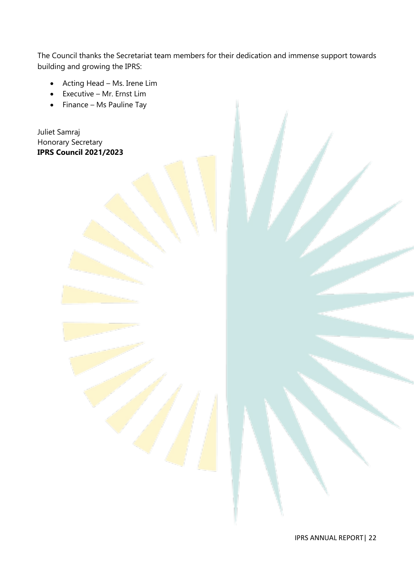The Council thanks the Secretariat team members for their dedication and immense support towards building and growing the IPRS:

- Acting Head Ms. Irene Lim
- Executive Mr. Ernst Lim
- Finance Ms Pauline Tay

Juliet Samraj Honorary Secretary **IPRS Council 2021/2023**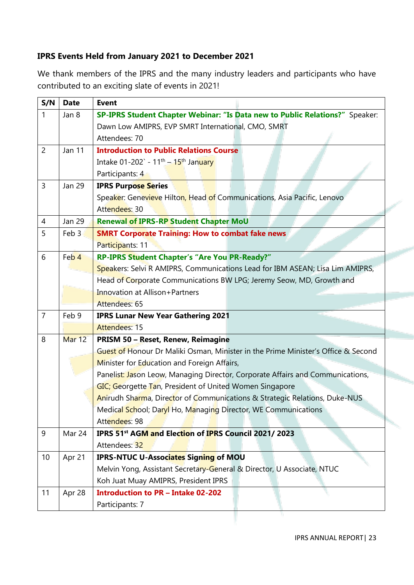# **IPRS Events Held from January 2021 to December 2021**

We thank members of the IPRS and the many industry leaders and participants who have contributed to an exciting slate of events in 2021!

| S/N            | <b>Date</b>                | <b>Event</b>                                                                                                                                                                                                                                                                                                                                                                                                                                                                                                                                                                                                                      |  |  |  |  |  |
|----------------|----------------------------|-----------------------------------------------------------------------------------------------------------------------------------------------------------------------------------------------------------------------------------------------------------------------------------------------------------------------------------------------------------------------------------------------------------------------------------------------------------------------------------------------------------------------------------------------------------------------------------------------------------------------------------|--|--|--|--|--|
| $\mathbf{1}$   | Jan 8                      | SP-IPRS Student Chapter Webinar: "Is Data new to Public Relations?" Speaker:                                                                                                                                                                                                                                                                                                                                                                                                                                                                                                                                                      |  |  |  |  |  |
|                |                            | Dawn Low AMIPRS, EVP SMRT International, CMO, SMRT                                                                                                                                                                                                                                                                                                                                                                                                                                                                                                                                                                                |  |  |  |  |  |
|                |                            | Attendees: 70                                                                                                                                                                                                                                                                                                                                                                                                                                                                                                                                                                                                                     |  |  |  |  |  |
| $\overline{2}$ | Jan 11                     | <b>Introduction to Public Relations Course</b>                                                                                                                                                                                                                                                                                                                                                                                                                                                                                                                                                                                    |  |  |  |  |  |
|                |                            | Intake $01-202$ - $11^{th} - 15^{th}$ January                                                                                                                                                                                                                                                                                                                                                                                                                                                                                                                                                                                     |  |  |  |  |  |
|                |                            | Participants: 4                                                                                                                                                                                                                                                                                                                                                                                                                                                                                                                                                                                                                   |  |  |  |  |  |
| 3              | Jan 29                     | <b>IPRS Purpose Series</b>                                                                                                                                                                                                                                                                                                                                                                                                                                                                                                                                                                                                        |  |  |  |  |  |
|                |                            | Speaker: Genevieve Hilton, Head of Communications, Asia Pacific, Lenovo                                                                                                                                                                                                                                                                                                                                                                                                                                                                                                                                                           |  |  |  |  |  |
|                |                            | Attendees: 30                                                                                                                                                                                                                                                                                                                                                                                                                                                                                                                                                                                                                     |  |  |  |  |  |
| 4              | <b>Jan 29</b>              | <b>Renewal of IPRS-RP Student Chapter MoU</b>                                                                                                                                                                                                                                                                                                                                                                                                                                                                                                                                                                                     |  |  |  |  |  |
| 5              | Feb 3                      | <b>SMRT Corporate Training: How to combat fake news</b>                                                                                                                                                                                                                                                                                                                                                                                                                                                                                                                                                                           |  |  |  |  |  |
|                |                            | Participants: 11                                                                                                                                                                                                                                                                                                                                                                                                                                                                                                                                                                                                                  |  |  |  |  |  |
| 6              | Feb 4                      | RP-IPRS Student Chapter's "Are You PR-Ready?"                                                                                                                                                                                                                                                                                                                                                                                                                                                                                                                                                                                     |  |  |  |  |  |
|                |                            | Speakers: Selvi R AMIPRS, Communications Lead for IBM ASEAN; Lisa Lim AMIPRS,                                                                                                                                                                                                                                                                                                                                                                                                                                                                                                                                                     |  |  |  |  |  |
|                |                            | Head of Corporate Communications BW LPG; Jeremy Seow, MD, Growth and                                                                                                                                                                                                                                                                                                                                                                                                                                                                                                                                                              |  |  |  |  |  |
|                |                            | Innovation at Allison+Partners                                                                                                                                                                                                                                                                                                                                                                                                                                                                                                                                                                                                    |  |  |  |  |  |
|                |                            | Attendees: 65                                                                                                                                                                                                                                                                                                                                                                                                                                                                                                                                                                                                                     |  |  |  |  |  |
| $\overline{7}$ | Feb 9                      | <b>IPRS Lunar New Year Gathering 2021</b>                                                                                                                                                                                                                                                                                                                                                                                                                                                                                                                                                                                         |  |  |  |  |  |
|                |                            | <b>Attendees: 15</b>                                                                                                                                                                                                                                                                                                                                                                                                                                                                                                                                                                                                              |  |  |  |  |  |
| 8              | Mar 12                     | PRISM 50 - Reset, Renew, Reimagine                                                                                                                                                                                                                                                                                                                                                                                                                                                                                                                                                                                                |  |  |  |  |  |
|                |                            | Guest of Honour Dr Maliki Osman, Minister in the Prime Minister's Office & Second                                                                                                                                                                                                                                                                                                                                                                                                                                                                                                                                                 |  |  |  |  |  |
|                |                            | Minister for Education and Foreign Affairs,                                                                                                                                                                                                                                                                                                                                                                                                                                                                                                                                                                                       |  |  |  |  |  |
|                |                            |                                                                                                                                                                                                                                                                                                                                                                                                                                                                                                                                                                                                                                   |  |  |  |  |  |
|                |                            |                                                                                                                                                                                                                                                                                                                                                                                                                                                                                                                                                                                                                                   |  |  |  |  |  |
|                |                            |                                                                                                                                                                                                                                                                                                                                                                                                                                                                                                                                                                                                                                   |  |  |  |  |  |
|                |                            |                                                                                                                                                                                                                                                                                                                                                                                                                                                                                                                                                                                                                                   |  |  |  |  |  |
|                |                            |                                                                                                                                                                                                                                                                                                                                                                                                                                                                                                                                                                                                                                   |  |  |  |  |  |
|                |                            |                                                                                                                                                                                                                                                                                                                                                                                                                                                                                                                                                                                                                                   |  |  |  |  |  |
|                |                            |                                                                                                                                                                                                                                                                                                                                                                                                                                                                                                                                                                                                                                   |  |  |  |  |  |
|                |                            |                                                                                                                                                                                                                                                                                                                                                                                                                                                                                                                                                                                                                                   |  |  |  |  |  |
|                |                            |                                                                                                                                                                                                                                                                                                                                                                                                                                                                                                                                                                                                                                   |  |  |  |  |  |
|                |                            |                                                                                                                                                                                                                                                                                                                                                                                                                                                                                                                                                                                                                                   |  |  |  |  |  |
|                |                            |                                                                                                                                                                                                                                                                                                                                                                                                                                                                                                                                                                                                                                   |  |  |  |  |  |
|                |                            |                                                                                                                                                                                                                                                                                                                                                                                                                                                                                                                                                                                                                                   |  |  |  |  |  |
| 9<br>10<br>11  | Mar 24<br>Apr 21<br>Apr 28 | Panelist: Jason Leow, Managing Director, Corporate Affairs and Communications,<br>GIC; Georgette Tan, President of United Women Singapore<br>Anirudh Sharma, Director of Communications & Strategic Relations, Duke-NUS<br>Medical School; Daryl Ho, Managing Director, WE Communications<br>Attendees: 98<br>IPRS 51 <sup>st</sup> AGM and Election of IPRS Council 2021/2023<br>Attendees: 32<br><b>IPRS-NTUC U-Associates Signing of MOU</b><br>Melvin Yong, Assistant Secretary-General & Director, U Associate, NTUC<br>Koh Juat Muay AMIPRS, President IPRS<br><b>Introduction to PR - Intake 02-202</b><br>Participants: 7 |  |  |  |  |  |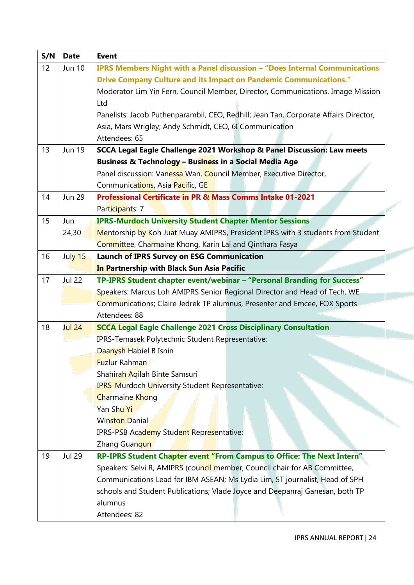| S/N | <b>Date</b>   | <b>Event</b>                                                                         |  |  |  |  |
|-----|---------------|--------------------------------------------------------------------------------------|--|--|--|--|
| 12  | Jun 10        | IPRS Members Night with a Panel discussion - "Does Internal Communications           |  |  |  |  |
|     |               | <b>Drive Company Culture and its Impact on Pandemic Communications."</b>             |  |  |  |  |
|     |               | Moderator Lim Yin Fern, Council Member, Director, Communications, Image Mission      |  |  |  |  |
|     |               | Ltd                                                                                  |  |  |  |  |
|     |               | Panelists: Jacob Puthenparambil, CEO, Redhill; Jean Tan, Corporate Affairs Director, |  |  |  |  |
|     |               | Asia, Mars Wrigley; Andy Schmidt, CEO, 6I Communication                              |  |  |  |  |
|     |               | Attendees: 65                                                                        |  |  |  |  |
| 13  | <b>Jun 19</b> | SCCA Legal Eagle Challenge 2021 Workshop & Panel Discussion: Law meets               |  |  |  |  |
|     |               | Business & Technology - Business in a Social Media Age                               |  |  |  |  |
|     |               | Panel discussion: Vanessa Wan, Council Member, Executive Director,                   |  |  |  |  |
|     |               | Communications, Asia Pacific, GE                                                     |  |  |  |  |
| 14  | <b>Jun 29</b> | Professional Certificate in PR & Mass Comms Intake 01-2021                           |  |  |  |  |
|     |               | Participants: 7                                                                      |  |  |  |  |
| 15  | Jun           | <b>IPRS-Murdoch University Student Chapter Mentor Sessions</b>                       |  |  |  |  |
|     | 24,30         | Mentorship by Koh Juat Muay AMIPRS, President IPRS with 3 students from Student      |  |  |  |  |
|     |               | Committee, Charmaine Khong, Karin Lai and Qinthara Fasya                             |  |  |  |  |
| 16  | July 15       | <b>Launch of IPRS Survey on ESG Communication</b>                                    |  |  |  |  |
|     |               | In Partnership with Black Sun Asia Pacific                                           |  |  |  |  |
| 17  | <b>Jul 22</b> | TP-IPRS Student chapter event/webinar - "Personal Branding for Success"              |  |  |  |  |
|     |               | Speakers: Marcus Loh AMIPRS Senior Regional Director and Head of Tech, WE            |  |  |  |  |
|     |               | Communications; Claire Jedrek TP alumnus, Presenter and Emcee, FOX Sports            |  |  |  |  |
|     |               | Attendees: 88                                                                        |  |  |  |  |
| 18  | <b>Jul 24</b> | <b>SCCA Legal Eagle Challenge 2021 Cross Disciplinary Consultation</b>               |  |  |  |  |
|     |               | IPRS-Temasek Polytechnic Student Representative:                                     |  |  |  |  |
|     |               | Daanysh Habiel B Isnin                                                               |  |  |  |  |
|     |               | <b>Fuzlur Rahman</b>                                                                 |  |  |  |  |
|     |               | Shahirah Aqilah Binte Samsuri                                                        |  |  |  |  |
|     |               | <b>IPRS-Murdoch University Student Representative:</b>                               |  |  |  |  |
|     |               | <b>Charmaine Khong</b>                                                               |  |  |  |  |
|     |               | Yan Shu Yi                                                                           |  |  |  |  |
|     |               | <b>Winston Danial</b>                                                                |  |  |  |  |
|     |               | IPRS-PSB Academy Student Representative:                                             |  |  |  |  |
|     |               | Zhang Guanqun                                                                        |  |  |  |  |
| 19  | <b>Jul 29</b> | RP-IPRS Student Chapter event "From Campus to Office: The Next Intern"               |  |  |  |  |
|     |               | Speakers: Selvi R, AMIPRS (council member, Council chair for AB Committee,           |  |  |  |  |
|     |               | Communications Lead for IBM ASEAN; Ms Lydia Lim, ST journalist, Head of SPH          |  |  |  |  |
|     |               | schools and Student Publications; Vlade Joyce and Deepanraj Ganesan, both TP         |  |  |  |  |
|     |               | alumnus                                                                              |  |  |  |  |
|     |               | Attendees: 82                                                                        |  |  |  |  |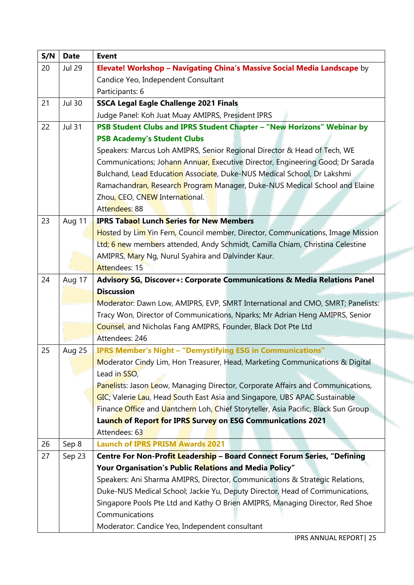| S/N | <b>Date</b>   | <b>Event</b>                                                                                                                                  |  |  |  |  |
|-----|---------------|-----------------------------------------------------------------------------------------------------------------------------------------------|--|--|--|--|
| 20  | <b>Jul 29</b> | Elevate! Workshop - Navigating China's Massive Social Media Landscape by                                                                      |  |  |  |  |
|     |               | Candice Yeo, Independent Consultant                                                                                                           |  |  |  |  |
|     |               | Participants: 6                                                                                                                               |  |  |  |  |
| 21  | <b>Jul 30</b> | <b>SSCA Legal Eagle Challenge 2021 Finals</b>                                                                                                 |  |  |  |  |
|     |               | Judge Panel: Koh Juat Muay AMIPRS, President IPRS                                                                                             |  |  |  |  |
| 22  | <b>Jul 31</b> | PSB Student Clubs and IPRS Student Chapter - "New Horizons" Webinar by                                                                        |  |  |  |  |
|     |               | <b>PSB Academy's Student Clubs</b>                                                                                                            |  |  |  |  |
|     |               | Speakers: Marcus Loh AMIPRS, Senior Regional Director & Head of Tech, WE                                                                      |  |  |  |  |
|     |               | Communications; Johann Annuar, Executive Director, Engineering Good; Dr Sarada                                                                |  |  |  |  |
|     |               | Bulchand, Lead Education Associate, Duke-NUS Medical School, Dr Lakshmi                                                                       |  |  |  |  |
|     |               | Ramachandran, Research Program Manager, Duke-NUS Medical School and Elaine                                                                    |  |  |  |  |
|     |               | Zhou, CEO, CNEW International.                                                                                                                |  |  |  |  |
|     |               | Attendees: 88                                                                                                                                 |  |  |  |  |
| 23  | Aug 11        | <b>IPRS Tabao! Lunch Series for New Members</b>                                                                                               |  |  |  |  |
|     |               | Hosted by Lim Yin Fern, Council member, Director, Communications, Image Mission                                                               |  |  |  |  |
|     |               | Ltd; 6 new members attended, Andy Schmidt, Camilla Chiam, Christina Celestine                                                                 |  |  |  |  |
|     |               | AMIPRS, Mary Ng, Nurul Syahira and Dalvinder Kaur.                                                                                            |  |  |  |  |
|     |               | Attendees: 15                                                                                                                                 |  |  |  |  |
| 24  | Aug 17        | Advisory SG, Discover+: Corporate Communications & Media Relations Panel                                                                      |  |  |  |  |
|     |               | <b>Discussion</b>                                                                                                                             |  |  |  |  |
|     |               | Moderator: Dawn Low, AMIPRS, EVP, SMRT International and CMO, SMRT; Panelists:                                                                |  |  |  |  |
|     |               | Tracy Won, Director of Communications, Nparks; Mr Adrian Heng AMIPRS, Senior<br>Counsel, and Nicholas Fang AMIPRS, Founder, Black Dot Pte Ltd |  |  |  |  |
|     |               | Attendees: 246                                                                                                                                |  |  |  |  |
| 25  | Aug 25        | <b>IPRS Member's Night - "Demystifying ESG in Communications"</b>                                                                             |  |  |  |  |
|     |               | Moderator Cindy Lim, Hon Treasurer, Head, Marketing Communications & Digital                                                                  |  |  |  |  |
|     |               | Lead in SSO,                                                                                                                                  |  |  |  |  |
|     |               | Panelists: Jason Leow, Managing Director, Corporate Affairs and Communications,                                                               |  |  |  |  |
|     |               | GIC; Valerie Lau, Head South East Asia and Singapore, UBS APAC Sustainable                                                                    |  |  |  |  |
|     |               | Finance Office and Uantchern Loh, Chief Storyteller, Asia Pacific, Black Sun Group                                                            |  |  |  |  |
|     |               | Launch of Report for IPRS Survey on ESG Communications 2021                                                                                   |  |  |  |  |
|     |               | Attendees: 63                                                                                                                                 |  |  |  |  |
| 26  | Sep 8         | <b>Launch of IPRS PRISM Awards 2021</b>                                                                                                       |  |  |  |  |
| 27  | Sep 23        | Centre For Non-Profit Leadership - Board Connect Forum Series, "Defining                                                                      |  |  |  |  |
|     |               | Your Organisation's Public Relations and Media Policy"                                                                                        |  |  |  |  |
|     |               | Speakers: Ani Sharma AMIPRS, Director, Communications & Strategic Relations,                                                                  |  |  |  |  |
|     |               | Duke-NUS Medical School; Jackie Yu, Deputy Director, Head of Communications,                                                                  |  |  |  |  |
|     |               | Singapore Pools Pte Ltd and Kathy O Brien AMIPRS, Managing Director, Red Shoe                                                                 |  |  |  |  |
|     |               | Communications                                                                                                                                |  |  |  |  |
|     |               | Moderator: Candice Yeo, Independent consultant                                                                                                |  |  |  |  |

**The Second**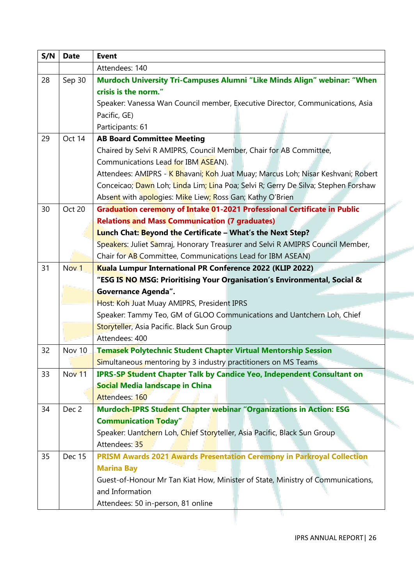| S/N | <b>Date</b>      | <b>Event</b>                                                                       |  |  |  |  |  |
|-----|------------------|------------------------------------------------------------------------------------|--|--|--|--|--|
|     |                  | Attendees: 140                                                                     |  |  |  |  |  |
| 28  | Sep 30           | Murdoch University Tri-Campuses Alumni "Like Minds Align" webinar: "When           |  |  |  |  |  |
|     |                  | crisis is the norm."                                                               |  |  |  |  |  |
|     |                  | Speaker: Vanessa Wan Council member, Executive Director, Communications, Asia      |  |  |  |  |  |
|     |                  | Pacific, GE)                                                                       |  |  |  |  |  |
|     |                  | Participants: 61                                                                   |  |  |  |  |  |
| 29  | Oct 14           | <b>AB Board Committee Meeting</b>                                                  |  |  |  |  |  |
|     |                  | Chaired by Selvi R AMIPRS, Council Member, Chair for AB Committee,                 |  |  |  |  |  |
|     |                  | Communications Lead for IBM ASEAN).                                                |  |  |  |  |  |
|     |                  | Attendees: AMIPRS - K Bhavani; Koh Juat Muay; Marcus Loh; Nisar Keshvani; Robert   |  |  |  |  |  |
|     |                  | Conceicao; Dawn Loh; Linda Lim; Lina Poa; Selvi R; Gerry De Silva; Stephen Forshaw |  |  |  |  |  |
|     |                  | Absent with apologies: Mike Liew; Ross Gan; Kathy O'Brien                          |  |  |  |  |  |
| 30  | Oct 20           | Graduation ceremony of Intake 01-2021 Professional Certificate in Public           |  |  |  |  |  |
|     |                  | <b>Relations and Mass Communication (7 graduates)</b>                              |  |  |  |  |  |
|     |                  | Lunch Chat: Beyond the Certificate – What's the Next Step?                         |  |  |  |  |  |
|     |                  | Speakers: Juliet Samraj, Honorary Treasurer and Selvi R AMIPRS Council Member,     |  |  |  |  |  |
|     |                  | Chair for AB Committee, Communications Lead for IBM ASEAN)                         |  |  |  |  |  |
| 31  | Nov <sub>1</sub> | Kuala Lumpur International PR Conference 2022 (KLIP 2022)                          |  |  |  |  |  |
|     |                  | "ESG IS NO MSG: Prioritising Your Organisation's Environmental, Social &           |  |  |  |  |  |
|     |                  | <b>Governance Agenda".</b>                                                         |  |  |  |  |  |
|     |                  | Host: Koh Juat Muay AMIPRS, President IPRS                                         |  |  |  |  |  |
|     |                  | Speaker: Tammy Teo, GM of GLOO Communications and Uantchern Loh, Chief             |  |  |  |  |  |
|     |                  | Storyteller, Asia Pacific. Black Sun Group                                         |  |  |  |  |  |
|     |                  | Attendees: 400                                                                     |  |  |  |  |  |
| 32  | Nov 10           | <b>Temasek Polytechnic Student Chapter Virtual Mentorship Session</b>              |  |  |  |  |  |
|     |                  | Simultaneous mentoring by 3 industry practitioners on MS Teams                     |  |  |  |  |  |
| 33  | Nov 11           | <b>IPRS-SP Student Chapter Talk by Candice Yeo, Independent Consultant on</b>      |  |  |  |  |  |
|     |                  | <b>Social Media landscape in China</b>                                             |  |  |  |  |  |
|     |                  | Attendees: 160                                                                     |  |  |  |  |  |
| 34  | Dec <sub>2</sub> | <b>Murdoch-IPRS Student Chapter webinar "Organizations in Action: ESG</b>          |  |  |  |  |  |
|     |                  | <b>Communication Today"</b>                                                        |  |  |  |  |  |
|     |                  | Speaker: Uantchern Loh, Chief Storyteller, Asia Pacific, Black Sun Group           |  |  |  |  |  |
|     |                  | Attendees: 35                                                                      |  |  |  |  |  |
| 35  | <b>Dec 15</b>    | <b>PRISM Awards 2021 Awards Presentation Ceremony in Parkroyal Collection</b>      |  |  |  |  |  |
|     |                  | <b>Marina Bay</b>                                                                  |  |  |  |  |  |
|     |                  | Guest-of-Honour Mr Tan Kiat How, Minister of State, Ministry of Communications,    |  |  |  |  |  |
|     |                  | and Information                                                                    |  |  |  |  |  |
|     |                  | Attendees: 50 in-person, 81 online                                                 |  |  |  |  |  |
|     |                  |                                                                                    |  |  |  |  |  |

<u>a sa</u>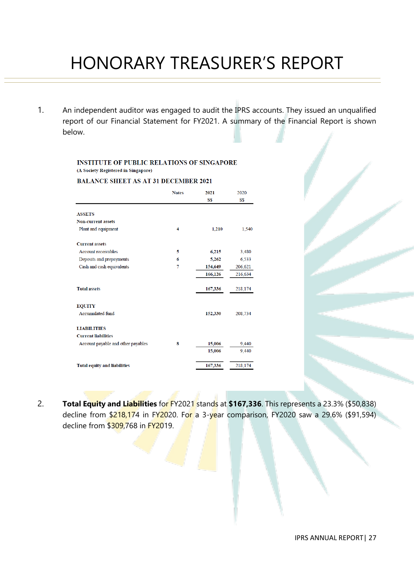# HONORARY TREASURER'S REPORT

1. An independent auditor was engaged to audit the IPRS accounts. They issued an unqualified report of our Financial Statement for FY2021. A summary of the Financial Report is shown below.

#### **INSTITUTE OF PUBLIC RELATIONS OF SINGAPORE** (A Society Registered in Singapore)

**BALANCE SHEET AS AT 31 DECEMBER 2021** 

|                                     | <b>Notes</b> | 2021<br>S\$ | 2020<br>S\$ |
|-------------------------------------|--------------|-------------|-------------|
| <b>ASSETS</b>                       |              |             |             |
| <b>Non-current assets</b>           |              |             |             |
| Plant and equipment                 | 4            | 1,210       | 1,540       |
| <b>Current assets</b>               |              |             |             |
| <b>Account receivables</b>          | 5            | 6,215       | 3,480       |
| Deposits and prepayments            | 6            | 5,262       | 6,533       |
| Cash and cash equivalents           | 7            | 154,649     | 206,621     |
|                                     |              | 166,126     | 216,634     |
| <b>Total assets</b>                 |              | 167,336     | 218,174     |
| <b>EQUITY</b>                       |              |             |             |
| Accumulated fund                    |              | 152,330     | 208,734     |
| <b>LIABILITIES</b>                  |              |             |             |
| <b>Current liabilities</b>          |              |             |             |
| Account payable and other payables  | 8            | 15,006      | 9,440       |
|                                     |              | 15,006      | 9,440       |
| <b>Total equity and liabilities</b> |              | 167,336     | 218,174     |

2. **Total Equity and Liabilities** for FY2021 stands at **\$167,336**. This represents a 23.3% (\$50,838) decline from  $$218,174$  in FY2020. For a 3-year comparison, FY2020 saw a 29.6% (\$91,594) decline from \$309,768 in FY2019.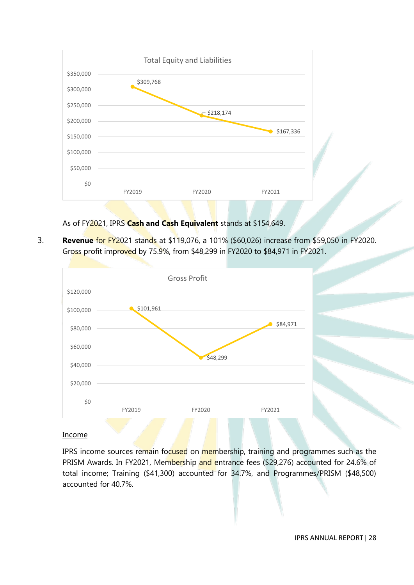

### As of FY2021, IPRS **Cash and Cash Equivalent** stands at \$154,649.

3. **Revenue** for FY2021 stands at \$119,076, a 101% (\$60,026) increase from \$59,050 in FY2020. Gross profit improved by 75.9%, from \$48,299 in FY2020 to \$84,971 in FY2021.



#### Income

IPRS income sources remain focused on membership, training and programmes such as the PRISM Awards. In FY2021, Membership and entrance fees (\$29,276) accounted for 24.6% of total income; Training (\$41,300) accounted for 34.7%, and Programmes/PRISM (\$48,500) accounted for 40.7%.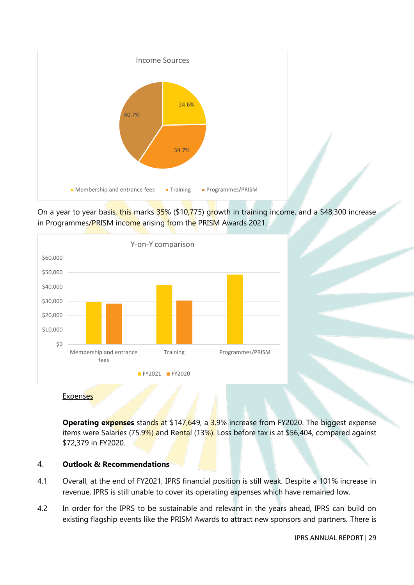

On a year to year basis, this marks 35% (\$10,775) growth in training income, and a \$48,300 increase in Programmes/PRISM income arising from the PRISM Awards 2021.



#### **Expenses**

**Operating expenses** stands at \$147,649, a 3.9% increase from FY2020. The biggest expense items were Salaries (75.9%) and Rental (13%). Loss before tax is at \$56,404, compared against \$72,379 in FY2020.

#### 4. **Outlook & Recommendations**

- 4.1 Overall, at the end of FY2021, IPRS financial position is still weak. Despite a 101% increase in revenue, IPRS is still unable to cover its operating expenses which have remained low.
- 4.2 In order for the IPRS to be sustainable and relevant in the years ahead, IPRS can build on existing flagship events like the PRISM Awards to attract new sponsors and partners. There is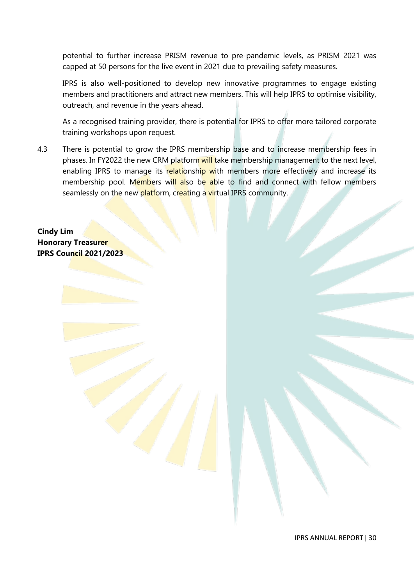potential to further increase PRISM revenue to pre-pandemic levels, as PRISM 2021 was capped at 50 persons for the live event in 2021 due to prevailing safety measures.

IPRS is also well-positioned to develop new innovative programmes to engage existing members and practitioners and attract new members. This will help IPRS to optimise visibility, outreach, and revenue in the years ahead.

As a recognised training provider, there is potential for IPRS to offer more tailored corporate training workshops upon request.

4.3 There is potential to grow the IPRS membership base and to increase membership fees in phases. In FY2022 the new CRM platform will take membership management to the next level, enabling IPRS to manage its relationship with members more effectively and increase its membership pool. Members will also be able to find and connect with fellow members seamlessly on the new platform, creating a virtual IPRS community.

**Cindy Lim Honorary Treasurer IPRS Council 2021/2023**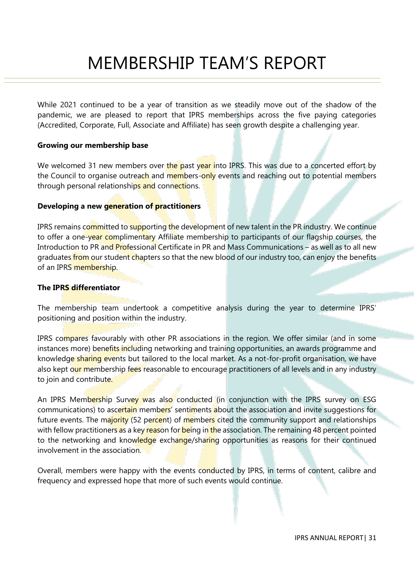# MEMBERSHIP TEAM'S REPORT

While 2021 continued to be a year of transition as we steadily move out of the shadow of the pandemic, we are pleased to report that IPRS memberships across the five paying categories (Accredited, Corporate, Full, Associate and Affiliate) has seen growth despite a challenging year.

#### **Growing our membership base**

We welcomed 31 new members over the past year into IPRS. This was due to a concerted effort by the Council to organise outreach and members-only events and reaching out to potential members through personal relationships and connections.

#### **Developing a new generation of practitioners**

IPRS remains committed to supporting the development of new talent in the PR industry. We continue to offer a one-year complimentary Affiliate membership to participants of our flagship courses, the Introduction to PR and Professional Certificate in PR and Mass Communications – as well as to all new graduates from our student chapters so that the new blood of our industry too, can enjoy the benefits of an IPRS membership.

#### **The IPRS differentiator**

The membership team undertook a competitive analysis during the year to determine IPRS' positioning and position within the industry.

IPRS compares favourably with other PR associations in the region. We offer similar (and in some instances more) benefits including networking and training opportunities, an awards programme and knowledge sharing events but tailored to the local market. As a not-for-profit organisation, we have also kept our membership fees reasonable to encourage practitioners of all levels and in any industry to join and contribute.

An IPRS Membership Survey was also conducted (in conjunction with the IPRS survey on ESG communications) to ascertain members' sentiments about the association and invite suggestions for future events. The majority (52 percent) of members cited the community support and relationships with fellow practitioners as a key reason for being in the association. The remaining 48 percent pointed to the networking and knowledge exchange/sharing opportunities as reasons for their continued involvement in the association.

Overall, members were happy with the events conducted by IPRS, in terms of content, calibre and frequency and expressed hope that more of such events would continue.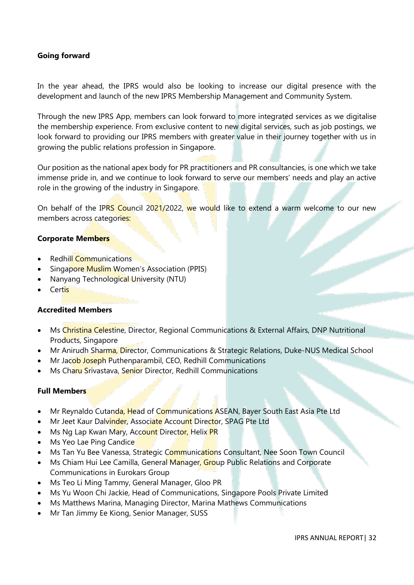#### **Going forward**

In the year ahead, the IPRS would also be looking to increase our digital presence with the development and launch of the new IPRS Membership Management and Community System.

Through the new IPRS App, members can look forward to more integrated services as we digitalise the membership experience. From exclusive content to new digital services, such as job postings, we look forward to providing our IPRS members with greater value in their journey together with us in growing the public relations profession in Singapore.

Our position as the national apex body for PR practitioners and PR consultancies, is one which we take immense pride in, and we continue to look forward to serve our members' needs and play an active role in the growing of the industry in Singapore.

On behalf of the IPRS Council 2021/2022, we would like to extend a warm welcome to our new members across categories:

#### **Corporate Members**

- Redhill Communications
- Singapore Muslim Women's Association (PPIS)
- **Nanyang Technological University (NTU)**
- Certis

#### **Accredited Members**

- Ms Christina Celestine, Director, Regional Communications & External Affairs, DNP Nutritional Products, Singapore
- Mr Anirudh Sharma, Director, Communications & Strategic Relations, Duke-NUS Medical School
- Mr Jacob Joseph Puthenparambil, CEO, Redhill Communications
- Ms Charu Srivastava, Senior Director, Redhill Communications

#### **Full Members**

- Mr Reynaldo Cutanda, Head of Communications ASEAN, Bayer South East Asia Pte Ltd
- Mr Jeet Kaur Dalvinder, Associate Account Director, SPAG Pte Ltd
- Ms Ng Lap Kwan Mary, Account Director, Helix PR
- Ms Yeo Lae Ping Candice
- Ms Tan Yu Bee Vanessa, Strategic Communications Consultant, Nee Soon Town Council
- Ms Chiam Hui Lee Camilla, General Manager, Group Public Relations and Corporate Communications in Eurokars Group
- Ms Teo Li Ming Tammy, General Manager, Gloo PR
- Ms Yu Woon Chi Jackie, Head of Communications, Singapore Pools Private Limited
- Ms Matthews Marina, Managing Director, Marina Mathews Communications
- Mr Tan Jimmy Ee Kiong, Senior Manager, SUSS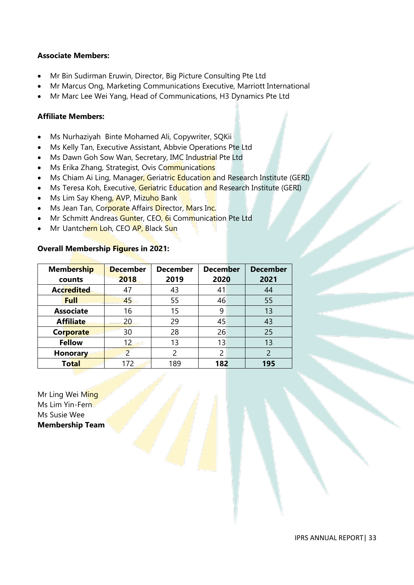#### **Associate Members:**

- Mr Bin Sudirman Eruwin, Director, Big Picture Consulting Pte Ltd
- Mr Marcus Ong, Marketing Communications Executive, Marriott International
- Mr Marc Lee Wei Yang, Head of Communications, H3 Dynamics Pte Ltd

#### **Affiliate Members:**

- Ms Nurhaziyah Binte Mohamed Ali, Copywriter, SQKii
- Ms Kelly Tan, Executive Assistant, Abbvie Operations Pte Ltd
- Ms Dawn Goh Sow Wan, Secretary, IMC Industrial Pte Ltd
- Ms Erika Zhang, Strategist, Ovis Communications
- Ms Chiam Ai Ling, Manager, Geriatric Education and Research Institute (GERI)
- Ms Teresa Koh, Executive, Geriatric Education and Research Institute (GERI)
- Ms Lim Say Kheng, AVP, Mizuho Bank
- Ms Jean Tan, Corporate Affairs Director, Mars Inc.
- Mr Schmitt Andreas Gunter, CEO, 6i Communication Pte Ltd
- Mr Uantchern Loh, CEO AP, Black Sun

#### **Overall Membership Figures in 2021:**

| <b>Membership</b> | <b>December</b> | <b>December</b> | <b>December</b> | <b>December</b> |
|-------------------|-----------------|-----------------|-----------------|-----------------|
| counts            | 2018            | 2019            | 2020            | 2021            |
| <b>Accredited</b> | 47              | 43              | 41              | 44              |
| <b>Full</b>       | 45              | 55              | 46              | 55              |
| <b>Associate</b>  | 16              | 15              | 9               | 13              |
| <b>Affiliate</b>  | 20              | 29              | 45              | 43              |
| <b>Corporate</b>  | 30              | 28              | 26              | 25              |
| <b>Fellow</b>     | 12              | 13              | 13              | 13              |
| <b>Honorary</b>   | $\overline{2}$  | 2               | $\overline{2}$  | $\overline{2}$  |
| <b>Total</b>      | 172             | 189             | 182             | 195             |

Mr Ling Wei Ming Ms Lim Yin-Fern Ms Susie Wee **Membership Team**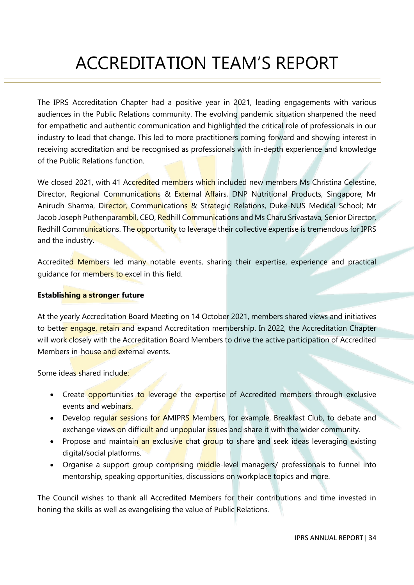# ACCREDITATION TEAM'S REPORT

The IPRS Accreditation Chapter had a positive year in 2021, leading engagements with various audiences in the Public Relations community. The evolving pandemic situation sharpened the need for empathetic and authentic communication and highlighted the critical role of professionals in our industry to lead that change. This led to more practitioners coming forward and showing interest in receiving accreditation and be recognised as professionals with in-depth experience and knowledge of the Public Relations function.

We closed 2021, with 41 Accredited members which included new members Ms Christina Celestine, Director, Regional Communications & External Affairs, DNP Nutritional Products, Singapore; Mr Anirudh Sharma, Director, Communications & Strategic Relations, Duke-NUS Medical School; Mr Jacob Joseph Puthenparambil, CEO, Redhill Communications and Ms Charu Srivastava, Senior Director, Redhill Communications. The opportunity to leverage their collective expertise is tremendous for IPRS and the industry.

Accredited Members led many notable events, sharing their expertise, experience and practical guidance for members to excel in this field.

### **Establishing a stronger future**

At the yearly Accreditation Board Meeting on 14 October 2021, members shared views and initiatives to better engage, retain and expand Accreditation membership. In 2022, the Accreditation Chapter will work closely with the Accreditation Board Members to drive the active participation of Accredited Members in-house and external events.

Some ideas shared include:

- Create opportunities to leverage the expertise of Accredited members through exclusive events and webinars.
- Develop regular sessions for AMIPRS Members, for example, Breakfast Club, to debate and exchange views on difficult and unpopular issues and share it with the wider community.
- Propose and maintain an exclusive chat group to share and seek ideas leveraging existing digital/social platforms.
- Organise a support group comprising middle-level managers/ professionals to funnel into mentorship, speaking opportunities, discussions on workplace topics and more.

The Council wishes to thank all Accredited Members for their contributions and time invested in honing the skills as well as evangelising the value of Public Relations.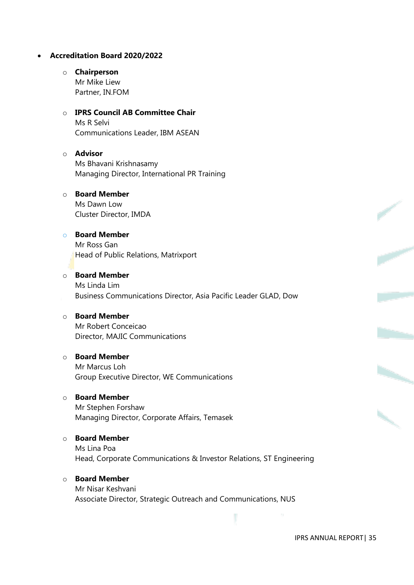#### • **Accreditation Board 2020/2022**

#### o **Chairperson**

Mr Mike Liew Partner, IN.FOM

#### o **IPRS Council AB Committee Chair** Ms R Selvi Communications Leader, IBM ASEAN

# o **Advisor** Ms Bhavani Krishnasamy Managing Director, International PR Training

# o **Board Member**

Ms Dawn Low Cluster Director, IMDA

## o **Board Member**

Mr Ross Gan Head of Public Relations, Matrixport

#### o **Board Member** Ms Linda Lim Business Communications Director, Asia Pacific Leader GLAD, Dow

#### o **Board Member**

Mr Robert Conceicao Director, MAJIC Communications

#### o **Board Member**

Mr Marcus Loh Group Executive Director, WE Communications

# o **Board Member**

Mr Stephen Forshaw Managing Director, Corporate Affairs, Temasek

#### o **Board Member**

Ms Lina Poa Head, Corporate Communications & Investor Relations, ST Engineering

#### o **Board Member**

Mr Nisar Keshvani Associate Director, Strategic Outreach and Communications, NUS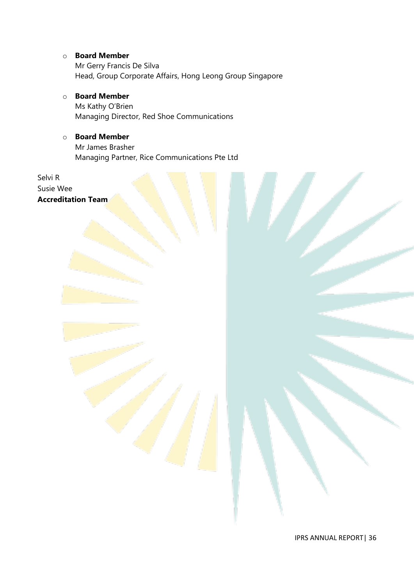#### o **Board Member**

Mr Gerry Francis De Silva Head, Group Corporate Affairs, Hong Leong Group Singapore

# o **Board Member**

Ms Kathy O'Brien Managing Director, Red Shoe Communications

### o **Board Member**

Mr James Brasher Managing Partner, Rice Communications Pte Ltd

Selvi R Susie Wee **Accreditation Team**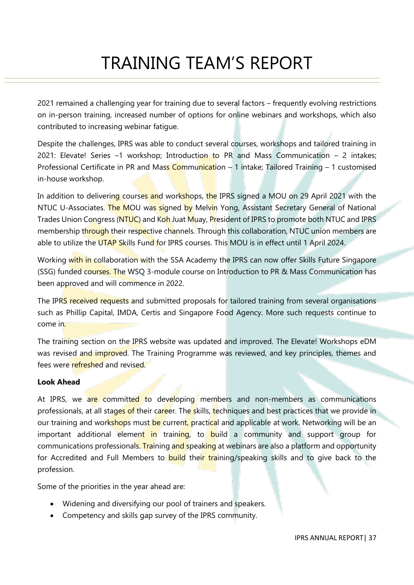# TRAINING TEAM'S REPORT

2021 remained a challenging year for training due to several factors – frequently evolving restrictions on in-person training, increased number of options for online webinars and workshops, which also contributed to increasing webinar fatigue.

Despite the challenges, IPRS was able to conduct several courses, workshops and tailored training in 2021: Elevate! Series  $-1$  workshop; Introduction to PR and Mass Communication  $-2$  intakes; Professional Certificate in PR and Mass Communication – 1 intake; Tailored Training – 1 customised in-house workshop.

In addition to delivering courses and workshops, the IPRS signed a MOU on 29 April 2021 with the NTUC U-Associates. The MOU was signed by Melvin Yong, Assistant Secretary General of National Trades Union Congress (NTUC) and Koh Juat Muay, President of IPRS to promote both NTUC and IPRS membership through their respective channels. Through this collaboration, NTUC union members are able to utilize the UTAP Skills Fund for IPRS courses. This MOU is in effect until 1 April 2024.

Working with in collaboration with the SSA Academy the IPRS can now offer Skills Future Singapore (SSG) funded courses. The WSQ 3-module course on Introduction to PR & Mass Communication has been approved and will commence in 2022.

The IPRS received requests and submitted proposals for tailored training from several organisations such as Phillip Capital, IMDA, Certis and Singapore Food Agency. More such requests continue to come in.

The training section on the IPRS website was updated and improved. The Elevate! Workshops eDM was revised and improved. The Training Programme was reviewed, and key principles, themes and fees were refreshed and revised.

### **Look Ahead**

At IPRS, we are committed to developing members and non-members as communications professionals, at all stages of their career. The skills, techniques and best practices that we provide in our training and workshops must be current, practical and applicable at work. Networking will be an important additional element in training, to build a community and support group for communications professionals. Training and speaking at webinars are also a platform and opportunity for Accredited and Full Members to **build** their training/speaking skills and to give back to the profession.

Some of the priorities in the year ahead are:

- Widening and diversifying our pool of trainers and speakers.
- Competency and skills gap survey of the IPRS community.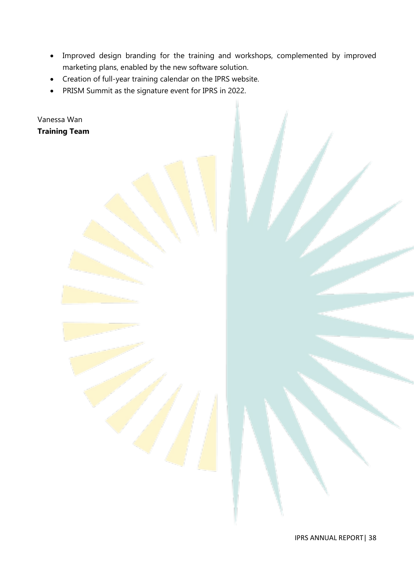- Improved design branding for the training and workshops, complemented by improved marketing plans, enabled by the new software solution.
- Creation of full-year training calendar on the IPRS website.
- PRISM Summit as the signature event for IPRS in 2022.

Vanessa Wan **Training Team**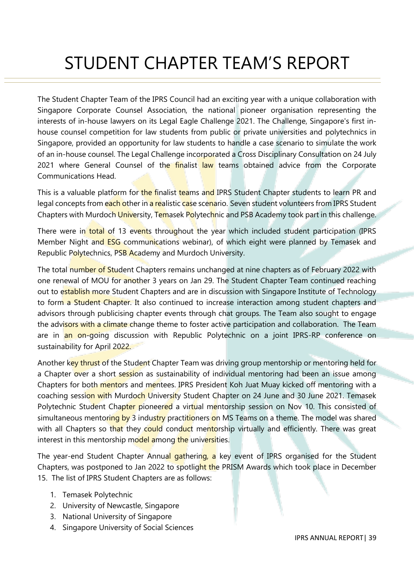# STUDENT CHAPTER TEAM'S REPORT

The Student Chapter Team of the IPRS Council had an exciting year with a unique collaboration with Singapore Corporate Counsel Association, the national pioneer organisation representing the interests of in-house lawyers on its Legal Eagle Challenge 2021. The Challenge, Singapore's first inhouse counsel competition for law students from public or private universities and polytechnics in Singapore, provided an opportunity for law students to handle a case scenario to simulate the work of an in-house counsel. The Legal Challenge incorporated a Cross Disciplinary Consultation on 24 July 2021 where General Counsel of the finalist law teams obtained advice from the Corporate Communications Head.

This is a valuable platform for the finalist teams and IPRS Student Chapter students to learn PR and legal concepts from each other in a realistic case scenario. Seven student volunteers from IPRS Student Chapters with Murdoch University, Temasek Polytechnic and PSB Academy took part in this challenge.

There were in total of 13 events throughout the year which included student participation (IPRS Member Night and **ESG** communications webinar), of which eight were planned by Temasek and Republic Polytechnics, PSB Academy and Murdoch University.

The total number of Student Chapters remains unchanged at nine chapters as of February 2022 with one renewal of MOU for another 3 years on Jan 29. The Student Chapter Team continued reaching out to establish more Student Chapters and are in discussion with Singapore Institute of Technology to form a Student Chapter. It also continued to increase interaction among student chapters and advisors through publicising chapter events through chat groups. The Team also sought to engage the advisors with a climate change theme to foster active participation and collaboration. The Team are in an on-going discussion with Republic Polytechnic on a joint IPRS-RP conference on sustainability for April 2022.

Another key thrust of the Student Chapter Team was driving group mentorship or mentoring held for a Chapter over a short session as sustainability of individual mentoring had been an issue among Chapters for both mentors and mentees. IPRS President Koh Juat Muay kicked off mentoring with a coaching session with Murdoch University Student Chapter on 24 June and 30 June 2021. Temasek Polytechnic Student Chapter pioneered a virtual mentorship session on Nov 10. This consisted of simultaneous mentoring by 3 industry practitioners on MS Teams on a theme. The model was shared with all Chapters so that they could conduct mentorship virtually and efficiently. There was great interest in this mentorship model among the universities.

The year-end Student Chapter Annual gathering, a key event of IPRS organised for the Student Chapters, was postponed to Jan 2022 to spotlight the PRISM Awards which took place in December 15. The list of IPRS Student Chapters are as follows:

- 1. Temasek Polytechnic
- 2. University of Newcastle, Singapore
- 3. National University of Singapore
- 4. Singapore University of Social Sciences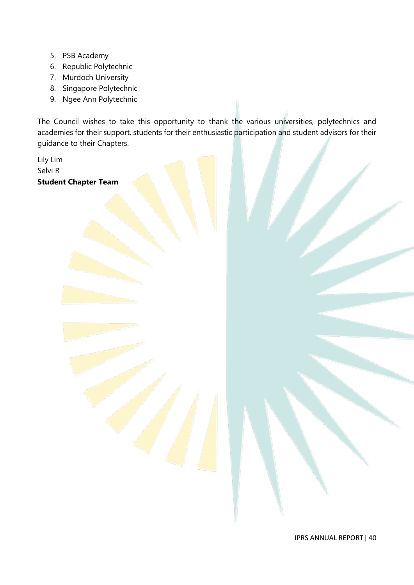- 5. PSB Academy
- 6. Republic Polytechnic
- 7. Murdoch University
- 8. Singapore Polytechnic
- 9. Ngee Ann Polytechnic

The Council wishes to take this opportunity to thank the various universities, polytechnics and academies for their support, students for their enthusiastic participation and student advisors for their guidance to their Chapters.

Lily Lim Selvi R **Student Chapter Team**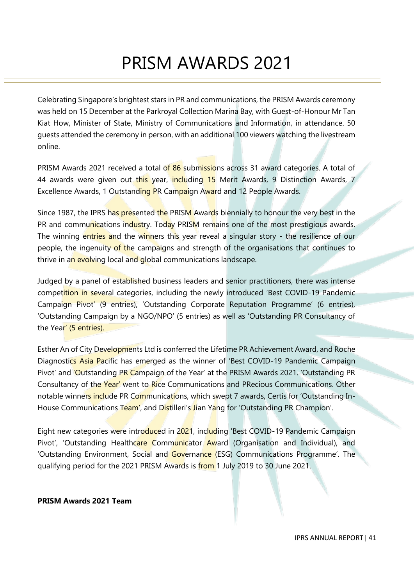# PRISM AWARDS 2021

Celebrating Singapore's brightest stars in PR and communications, the PRISM Awards ceremony was held on 15 December at the Parkroyal Collection Marina Bay, with Guest-of-Honour Mr Tan Kiat How, Minister of State, Ministry of Communications and Information, in attendance. 50 guests attended the ceremony in person, with an additional 100 viewers watching the livestream online.

PRISM Awards 2021 received a total of 86 submissions across 31 award categories. A total of 44 awards were given out this year, including 15 Merit Awards, 9 Distinction Awards, 7 Excellence Awards, 1 Outstanding PR Campaign Award and 12 People Awards.

Since 1987, the IPRS has presented the PRISM Awards biennially to honour the very best in the PR and communications industry. Today PRISM remains one of the most prestigious awards. The winning entries and the winners this year reveal a singular story - the resilience of our people, the ingenuity of the campaigns and strength of the organisations that continues to thrive in an evolving local and global communications landscape.

Judged by a panel of established business leaders and senior practitioners, there was intense competition in several categories, including the newly introduced 'Best COVID-19 Pandemic Campaign Pivot' (9 entries), 'Outstanding Corporate Reputation Programme' (6 entries), 'Outstanding Campaign by a NGO/NPO' (5 entries) as well as 'Outstanding PR Consultancy of the Year' (5 entries).

Esther An of City Developments Ltd is conferred the Lifetime PR Achievement Award, and Roche Diagnostics Asia Pacific has emerged as the winner of 'Best COVID-19 Pandemic Campaign Pivot' and 'Outstanding PR Campaign of the Year' at the PRISM Awards 2021. 'Outstanding PR Consultancy of the Year' went to Rice Communications and PRecious Communications. Other notable winners include PR Communications, which swept 7 awards, Certis for 'Outstanding In-House Communications Team', and Distilleri's Jian Yang for 'Outstanding PR Champion'.

Eight new categories were introduced in 2021, including 'Best COVID-19 Pandemic Campaign Pivot', 'Outstanding Healthcare Communicator Award (Organisation and Individual), and 'Outstanding Environment, Social and Governance (ESG) Communications Programme'. The qualifying period for the 2021 PRISM Awards is from 1 July 2019 to 30 June 2021.

#### **PRISM Awards 2021 Team**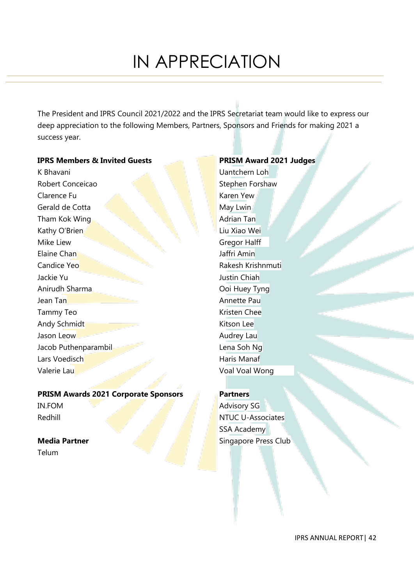# IN APPRECIATION

The President and IPRS Council 2021/2022 and the IPRS Secretariat team would like to express our deep appreciation to the following Members, Partners, Sponsors and Friends for making 2021 a success year.

#### **IPRS Members & Invited Guests**

K Bhavani Robert Conceicao Clarence Fu Gerald de Cotta Tham Kok Wing Kathy O'Brien Mike Liew Elaine Chan Candice Yeo Jackie Yu Anirudh Sharma Jean Tan Tammy Teo Andy Schmidt Jason Leow Jacob Puthenparambil Lars Voedisch Valerie Lau

# **PRISM Awards 2021 Corporate Sponsors**

IN.FOM Redhill

#### **Media Partner**

Telum

# **PRISM Award 2021 Judges**

Uantchern Loh Stephen Forshaw Karen Yew May Lwin Adrian Tan Liu Xiao Wei Gregor Halff Jaffri Amin Rakesh Krishnmuti Justin Chiah Ooi Huey Tyng Annette Pau Kristen Chee Kitson Lee Audrey Lau Lena Soh Ng Haris Manaf Voal Voal Wong

#### **Partners**

Advisory SG NTUC U-Associates SSA Academy Singapore Press Club

IPRS ANNUAL REPORT| 42